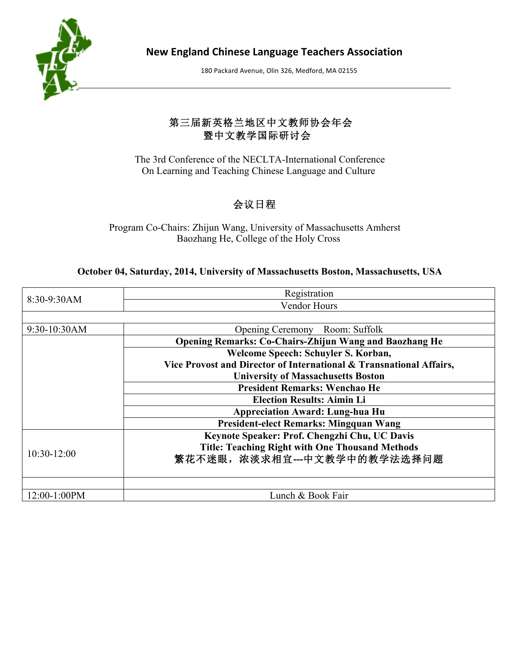

**New England Chinese Language Teachers Association**

180 Packard Avenue, Olin 326, Medford, MA 02155

## 第三届新英格兰地区中文教师协会年会 暨中文教学国际研讨会

 The 3rd Conference of the NECLTA-International Conference On Learning and Teaching Chinese Language and Culture

## 会议日程

Program Co-Chairs: Zhijun Wang, University of Massachusetts Amherst Baozhang He, College of the Holy Cross

## **October 04, Saturday, 2014, University of Massachusetts Boston, Massachusetts, USA**

| 8:30-9:30AM   | Registration                                                        |  |  |  |  |
|---------------|---------------------------------------------------------------------|--|--|--|--|
|               | <b>Vendor Hours</b>                                                 |  |  |  |  |
|               |                                                                     |  |  |  |  |
| 9:30-10:30AM  | Opening Ceremony Room: Suffolk                                      |  |  |  |  |
|               | <b>Opening Remarks: Co-Chairs-Zhijun Wang and Baozhang He</b>       |  |  |  |  |
|               | Welcome Speech: Schuyler S. Korban,                                 |  |  |  |  |
|               | Vice Provost and Director of International & Transnational Affairs, |  |  |  |  |
|               | <b>University of Massachusetts Boston</b>                           |  |  |  |  |
|               | <b>President Remarks: Wenchao He</b>                                |  |  |  |  |
|               | <b>Election Results: Aimin Li</b>                                   |  |  |  |  |
|               | <b>Appreciation Award: Lung-hua Hu</b>                              |  |  |  |  |
|               | <b>President-elect Remarks: Mingquan Wang</b>                       |  |  |  |  |
|               | Keynote Speaker: Prof. Chengzhi Chu, UC Davis                       |  |  |  |  |
| $10:30-12:00$ | <b>Title: Teaching Right with One Thousand Methods</b>              |  |  |  |  |
|               | 繁花不迷眼,浓淡求相宜---中文教学中的教学法选择问题                                         |  |  |  |  |
|               |                                                                     |  |  |  |  |
|               |                                                                     |  |  |  |  |
| 12:00-1:00PM  | Lunch & Book Fair                                                   |  |  |  |  |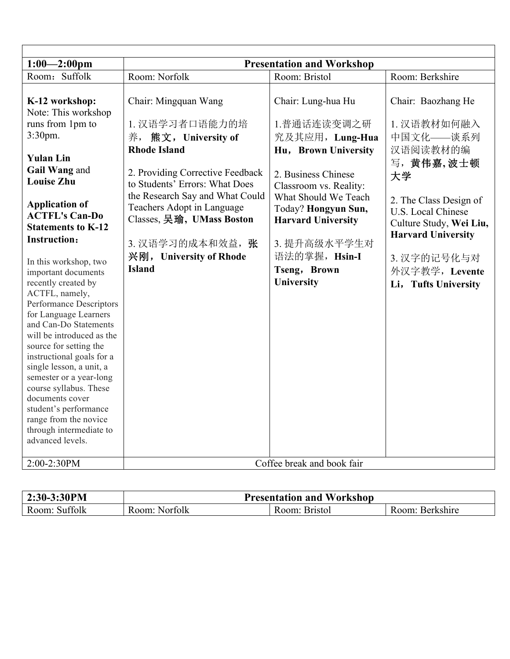| $1:00 - 2:00$ pm                                                            |                                                                                            | <b>Presentation and Workshop</b>                                         |                                                                         |
|-----------------------------------------------------------------------------|--------------------------------------------------------------------------------------------|--------------------------------------------------------------------------|-------------------------------------------------------------------------|
| Room: Suffolk                                                               | Room: Norfolk                                                                              | Room: Bristol                                                            | Room: Berkshire                                                         |
| K-12 workshop:<br>Note: This workshop                                       | Chair: Mingquan Wang                                                                       | Chair: Lung-hua Hu                                                       | Chair: Baozhang He                                                      |
| runs from 1pm to<br>3:30pm.                                                 | 1. 汉语学习者口语能力的培<br>养, 熊文, University of                                                     | 1.普通话连读变调之研<br>究及其应用, Lung-Hua                                           | 1. 汉语教材如何融入<br>中国文化——谈系列                                                |
| <b>Yulan Lin</b>                                                            | <b>Rhode Island</b>                                                                        | Hu, Brown University                                                     | 汉语阅读教材的编<br>写,黄伟嘉,波士顿                                                   |
| Gail Wang and<br><b>Louise Zhu</b>                                          | 2. Providing Corrective Feedback<br>to Students' Errors: What Does                         | 2. Business Chinese<br>Classroom vs. Reality:                            | 大学                                                                      |
| <b>Application of</b><br><b>ACTFL's Can-Do</b><br><b>Statements to K-12</b> | the Research Say and What Could<br>Teachers Adopt in Language<br>Classes, 吴瑜, UMass Boston | What Should We Teach<br>Today? Hongyun Sun,<br><b>Harvard University</b> | 2. The Class Design of<br>U.S. Local Chinese<br>Culture Study, Wei Liu, |
| <b>Instruction:</b>                                                         | 3. 汉语学习的成本和效益, 张                                                                           | 3. 提升高级水平学生对                                                             | <b>Harvard University</b>                                               |
| In this workshop, two                                                       | 兴刚, University of Rhode                                                                    | 语法的掌握, Hsin-I                                                            | 3. 汉字的记号化与对                                                             |
| important documents                                                         | <b>Island</b>                                                                              | Tseng, Brown                                                             | 外汉字教学, Levente                                                          |
| recently created by                                                         |                                                                                            | University                                                               | Li, Tufts University                                                    |
| ACTFL, namely,                                                              |                                                                                            |                                                                          |                                                                         |
| Performance Descriptors                                                     |                                                                                            |                                                                          |                                                                         |
| for Language Learners<br>and Can-Do Statements                              |                                                                                            |                                                                          |                                                                         |
| will be introduced as the                                                   |                                                                                            |                                                                          |                                                                         |
| source for setting the                                                      |                                                                                            |                                                                          |                                                                         |
| instructional goals for a                                                   |                                                                                            |                                                                          |                                                                         |
| single lesson, a unit, a                                                    |                                                                                            |                                                                          |                                                                         |
| semester or a year-long                                                     |                                                                                            |                                                                          |                                                                         |
| course syllabus. These                                                      |                                                                                            |                                                                          |                                                                         |
| documents cover                                                             |                                                                                            |                                                                          |                                                                         |
| student's performance                                                       |                                                                                            |                                                                          |                                                                         |
| range from the novice                                                       |                                                                                            |                                                                          |                                                                         |
| through intermediate to                                                     |                                                                                            |                                                                          |                                                                         |
| advanced levels.                                                            |                                                                                            |                                                                          |                                                                         |
|                                                                             |                                                                                            |                                                                          |                                                                         |
| 2:00-2:30PM                                                                 | Coffee break and book fair                                                                 |                                                                          |                                                                         |

| 3:30PM                      | <b>Presentation and</b> |                    |                    |  |
|-----------------------------|-------------------------|--------------------|--------------------|--|
| $2:30-3:3$                  | Workshop                |                    |                    |  |
| $00-11$<br>Room.<br>Suffolk | Norfolk<br>R00m         | Bristol<br>. Room: | Berkshire<br>Room: |  |